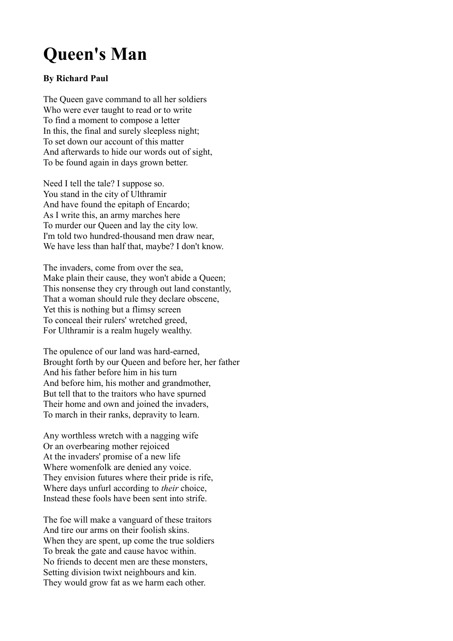## **Queen's Man**

## **By Richard Paul**

The Queen gave command to all her soldiers Who were ever taught to read or to write To find a moment to compose a letter In this, the final and surely sleepless night; To set down our account of this matter And afterwards to hide our words out of sight, To be found again in days grown better.

Need I tell the tale? I suppose so. You stand in the city of Ulthramir And have found the epitaph of Encardo; As I write this, an army marches here To murder our Queen and lay the city low. I'm told two hundred-thousand men draw near, We have less than half that, maybe? I don't know.

The invaders, come from over the sea, Make plain their cause, they won't abide a Queen; This nonsense they cry through out land constantly, That a woman should rule they declare obscene, Yet this is nothing but a flimsy screen To conceal their rulers' wretched greed, For Ulthramir is a realm hugely wealthy.

The opulence of our land was hard-earned, Brought forth by our Queen and before her, her father And his father before him in his turn And before him, his mother and grandmother, But tell that to the traitors who have spurned Their home and own and joined the invaders, To march in their ranks, depravity to learn.

Any worthless wretch with a nagging wife Or an overbearing mother rejoiced At the invaders' promise of a new life Where womenfolk are denied any voice. They envision futures where their pride is rife, Where days unfurl according to *their* choice, Instead these fools have been sent into strife.

The foe will make a vanguard of these traitors And tire our arms on their foolish skins. When they are spent, up come the true soldiers To break the gate and cause havoc within. No friends to decent men are these monsters, Setting division twixt neighbours and kin. They would grow fat as we harm each other.